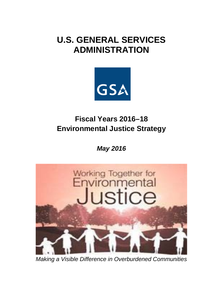# **U.S. GENERAL SERVICES ADMINISTRATION**



## **Fiscal Years 2016–18 Environmental Justice Strategy**

*May 2016*



*Making a Visible Difference in Overburdened Communities*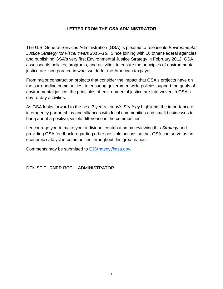#### **LETTER FROM THE GSA ADMINISTRATOR**

The U.S. General Services Administration (GSA) is pleased to release its *Environmental Justice Strategy for Fiscal Years 2016–18*. Since joining with 16 other Federal agencies and publishing GSA's very first Environmental Justice Strategy in February 2012, GSA assessed its policies, programs, and activities to ensure the principles of environmental justice are incorporated in what we do for the American taxpayer.

From major construction projects that consider the impact that GSA's projects have on the surrounding communities, to ensuring governmentwide policies support the goals of environmental justice, the principles of environmental justice are interwoven in GSA's day-to-day activities.

As GSA looks forward to the next 3 years, today's *Strategy* highlights the importance of interagency partnerships and alliances with local communities and small businesses to bring about a positive, visible difference in the communities.

I encourage you to make your individual contribution by reviewing this *Strategy* and providing GSA feedback regarding other possible actions so that GSA can serve as an economic catalyst in communities throughout this great nation.

Comments may be submitted to EJStrategy@gsa.gov.

DENISE TURNER ROTH, ADMINISTRATOR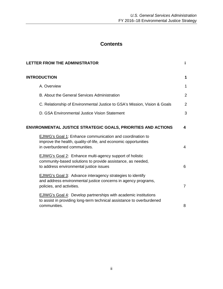### **Contents**

|                                                               |                                                                                                                                                                                                                                                          | j.                      |
|---------------------------------------------------------------|----------------------------------------------------------------------------------------------------------------------------------------------------------------------------------------------------------------------------------------------------------|-------------------------|
|                                                               | <b>LETTER FROM THE ADMINISTRATOR</b><br><b>INTRODUCTION</b><br>A. Overview<br>B. About the General Services Administration<br>C. Relationship of Environmental Justice to GSA's Mission, Vision & Goals<br>D. GSA Environmental Justice Vision Statement |                         |
|                                                               |                                                                                                                                                                                                                                                          | 1                       |
|                                                               |                                                                                                                                                                                                                                                          | $\overline{2}$          |
|                                                               |                                                                                                                                                                                                                                                          | $\overline{2}$          |
|                                                               |                                                                                                                                                                                                                                                          | 3                       |
| ENVIRONMENTAL JUSTICE STRATEGIC GOALS, PRIORITIES AND ACTIONS |                                                                                                                                                                                                                                                          | $\overline{\mathbf{4}}$ |
|                                                               | EJIWG's Goal 1: Enhance communication and coordination to<br>improve the health, quality-of-life, and economic opportunities<br>in overburdened communities.                                                                                             | 4                       |
|                                                               | <b>EJIWG's Goal 2: Enhance multi-agency support of holistic</b><br>community-based solutions to provide assistance, as needed,<br>to address environmental justice issues                                                                                | 6                       |
|                                                               | <b>EJIWG's Goal 3: Advance interagency strategies to identify</b><br>and address environmental justice concerns in agency programs,<br>policies, and activities.                                                                                         | $\overline{7}$          |
|                                                               | EJIWG's Goal 4: Develop partnerships with academic institutions<br>to assist in providing long-term technical assistance to overburdened<br>communities.                                                                                                 | 8                       |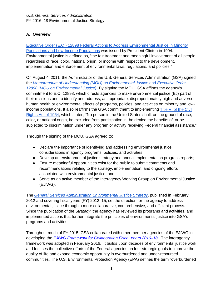#### **A. Overview**

Executive Order (E.O.) 12898 Federal Actions to Address Environmental Justice in Minority Populations and Low-Income Populations was issued by President Clinton in 1994. Environmental justice is defined as, "the fair treatment and meaningful involvement of all people regardless of race, color, national origin, or income with respect to the development, implementation and enforcement of environmental laws, regulations, and policies."

On August 4, 2011, the Administrator of the U.S. General Services Administration (GSA) signed the *Memorandum of Understanding (MOU) on Environmental Justice* and *Executive Order 12898 (MOU on Environmental Justice)*. By signing the MOU, GSA affirms the agency's commitment to E.O. 12898, which directs agencies to make environmental justice (EJ) part of their missions and to identify and address, as appropriate, disproportionately high and adverse human health or environmental effects of programs, policies, and activities on minority and lowincome populations. It also reaffirms the GSA commitment to implementing Title VI of the Civil Rights Act of 1964, which states, "No person in the United States shall, on the ground of race, color, or national origin, be excluded from participation in, be denied the benefits of, or be subjected to discrimination under any program or activity receiving Federal financial assistance."

Through the signing of the MOU, GSA agreed to:

- Declare the importance of identifying and addressing environmental justice considerations in agency programs, policies, and activities;
- Develop an environmental justice strategy and annual implementation progress reports;
- Ensure meaningful opportunities exist for the public to submit comments and recommendations relating to the strategy, implementation, and ongoing efforts associated with environmental justice; and
- Serve as an active member of the Interagency Working Group on Environmental Justice (EJIWG).

The *General Services Administration Environmental Justice Strategy*, published in February 2012 and covering fiscal years (FY) 2012–15, set the direction for the agency to address environmental justice through a more collaborative, comprehensive, and efficient process. Since the publication of the *Strategy*, the agency has reviewed its programs and activities, and implemented actions that further integrate the principles of environmental justice into GSA's programs and activities.

Throughout much of FY 2015, GSA collaborated with other member agencies of the EJIWG in developing the *EJIWG Framework for Collaboration Fiscal Years 2016–18*. The interagency framework was adopted in February 2016. It builds upon decades of environmental justice work and focuses the collective efforts of the Federal agencies on four strategic goals to improve the quality of life and expand economic opportunity in overburdened and under-resourced communities. The U.S. Environmental Protection Agency (EPA) defines the term "overburdened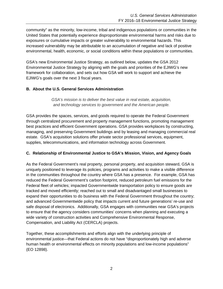community" as the minority, low-income, tribal and indigenous populations or communities in the United States that potentially experience disproportionate environmental harms and risks due to exposures or cumulative impacts or greater vulnerability to environmental hazards. This increased vulnerability may be attributable to an accumulation of negative and lack of positive environmental, health, economic, or social conditions within these populations or communities.

GSA's new Environmental Justice Strategy, as outlined below, updates the GSA 2012 Environmental Justice Strategy by aligning with the goals and priorities of the EJIWG's new framework for collaboration, and sets out how GSA will work to support and achieve the EJIWG's goals over the next 3 fiscal years.

#### **B. About the U.S. General Services Administration**

*GSA's mission is to deliver the best value in real estate, acquisition, and technology services to government and the American people.*

GSA provides the spaces, services, and goods required to operate the Federal Government through centralized procurement and property management functions, promoting management best practices and efficient Government operations. GSA provides workplaces by constructing, managing, and preserving Government buildings and by leasing and managing commercial real estate. GSA's acquisition solutions offer private sector professional services, equipment, supplies, telecommunications, and information technology across Government.

#### **C. Relationship of Environmental Justice to GSA's Mission, Vision, and Agency Goals**

As the Federal Government's real property, personal property, and acquisition steward, GSA is uniquely positioned to leverage its policies, programs and activities to make a visible difference in the communities throughout the country where GSA has a presence. For example, GSA has reduced the Federal Government's carbon footprint, reduced petroleum fuel emissions for the Federal fleet of vehicles; impacted Governmentwide transportation policy to ensure goods are tracked and moved efficiently; reached out to small and disadvantaged small businesses to expand their opportunities to do business with the Federal Government throughout the country; and advanced Governmentwide policy that impacts current and future generations' re-use and safe disposal of electronics. Additionally, GSA engages with communities near GSA's projects to ensure that the agency considers communities' concerns when planning and executing a wide variety of construction activities and Comprehensive Environmental Response, Compensation, and Liability Act (CERCLA) projects.

Together, these accomplishments and efforts align with the underlying principle of environmental justice—that Federal actions do not have "disproportionately high and adverse human health or environmental effects on minority populations and low-income populations" (EO 12898).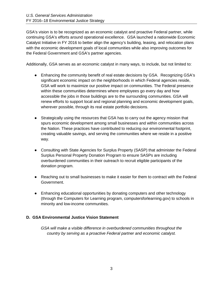GSA's vision is to be recognized as an economic catalyst and proactive Federal partner, while continuing GSA's efforts around operational excellence. GSA launched a nationwide Economic Catalyst Initiative in FY 2016 to better align the agency's building, leasing, and relocation plans with the economic development goals of local communities while also improving outcomes for the Federal Government and GSA's partner agencies.

Additionally, GSA serves as an economic catalyst in many ways, to include, but not limited to:

- Enhancing the community benefit of real estate decisions by GSA. Recognizing GSA's significant economic impact on the neighborhoods in which Federal agencies reside, GSA will work to maximize our positive impact on communities. The Federal presence within these communities determines where employees go every day and how accessible the jobs in those buildings are to the surrounding communities. GSA will renew efforts to support local and regional planning and economic development goals, wherever possible, through its real estate portfolio decisions.
- Strategically using the resources that GSA has to carry out the agency mission that spurs economic development among small businesses and within communities across the Nation. These practices have contributed to reducing our environmental footprint, creating valuable savings, and serving the communities where we reside in a positive way.
- Consulting with State Agencies for Surplus Property (SASP) that administer the Federal Surplus Personal Property Donation Program to ensure SASPs are including overburdened communities in their outreach to recruit eligible participants of the donation program.
- Reaching out to small businesses to make it easier for them to contract with the Federal Government.
- Enhancing educational opportunities by donating computers and other technology (through the Computers for Learning program, computersforlearning.gov) to schools in minority and low-income communities.

#### **D. GSA Environmental Justice Vision Statement**

*GSA will make a visible difference in overburdened communities throughout the country by serving as a proactive Federal partner and economic catalyst.*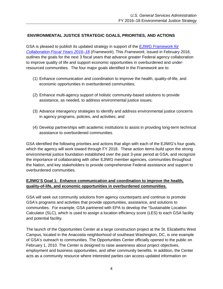#### **ENVIRONMENTAL JUSTICE STRATEGIC GOALS, PRIORITIES, AND ACTIONS**

GSA is pleased to publish its updated strategy in support of the *EJIWG Framework for Collaboration Fiscal Years 2016–18* (*Framework*). This *Framework*, issued in February 2016, outlines the goals for the next 3 fiscal years that advance greater Federal agency collaboration to improve quality of life and support economic opportunities in overburdened and underresourced communities. The four major goals identified in the *Framework* are to:

- (1) Enhance communication and coordination to improve the health, quality-of-life, and economic opportunities in overburdened communities;
- (2) Enhance multi-agency support of holistic community-based solutions to provide assistance, as needed, to address environmental justice issues;
- (3) Advance interagency strategies to identify and address environmental justice concerns in agency programs, policies, and activities; and
- (4) Develop partnerships with academic institutions to assist in providing long-term technical assistance to overburdened communities.

GSA identified the following priorities and actions that align with each of the EJIWG's four goals, which the agency will work toward through FY 2018. These action items build upon the strong environmental justice foundation established over the past 3-year period at GSA, and recognize the importance of collaborating with other EJIWG member agencies, communities throughout the Nation, and key stakeholders to provide comprehensive Federal assistance and support to overburdened communities.

#### **EJIWG'S Goal 1: Enhance communication and coordination to improve the health, quality-of-life, and economic opportunities in overburdened communities.**

GSA will seek out community solutions from agency counterparts and continue to promote GSA's programs and activities that provide opportunities, assistance, and solutions to communities. For example, GSA partnered with EPA to develop the "Sustainable Location Calculator (SLC), which is used to assign a location efficiency score (LES) to each GSA facility and potential facility.

The launch of the Opportunities Center at a large construction project at the St. Elizabeths West Campus, located in the Anacostia neighborhood of southeast Washington, DC, is one example of GSA's outreach to communities. The Opportunities Center officially opened to the public on February 1, 2010. The Center is designed to raise awareness about project objectives, employment and business opportunities, and other community benefits. In addition, the Center acts as a community resource where interested parties can access updated information on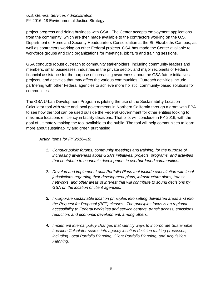project progress and doing business with GSA. The Center accepts employment applications from the community, which are then made available to the contractors working on the U.S. Department of Homeland Security Headquarters Consolidation at the St. Elizabeths Campus, as well as contractors working on other Federal projects. GSA has made the Center available to workforce groups and civic organizations for meetings, job fairs and training sessions.

GSA conducts robust outreach to community stakeholders, including community leaders and members, small businesses, industries in the private sector, and major recipients of Federal financial assistance for the purpose of increasing awareness about the GSA future initiatives, projects, and activities that may affect the various communities. Outreach activities include partnering with other Federal agencies to achieve more holistic, community-based solutions for communities.

The GSA Urban Development Program is piloting the use of the Sustainability Location Calculator tool with state and local governments in Northern California through a grant with EPA to see how the tool can be used outside the Federal Government for other entities looking to maximize locations efficiency in facility decisions. That pilot will conclude in FY 2016, with the goal of ultimately making the tool available to the public. The tool will help communities to learn more about sustainability and green purchasing.

*Action Items for FY 2016–18:* 

- *1. Conduct public forums, community meetings and training, for the purpose of increasing awareness about GSA's initiatives, projects, programs, and activities that contribute to economic development in overburdened communities.*
- *2. Develop and implement Local Portfolio Plans that include consultation with local jurisdictions regarding their development plans, infrastructure plans, transit networks, and other areas of interest that will contribute to sound decisions by GSA on the location of client agencies.*
- *3. Incorporate sustainable location principles into setting delineated areas and into the Request for Proposal (RFP) clauses. The principles focus is on regional accessibility to Federal worksites and service centers, transit access, emissions reduction, and economic development, among others.*
- *4. Implement internal policy changes that identify ways to incorporate Sustainable Location Calculator scores into agency location decision making processes, including Local Portfolio Planning, Client Portfolio Planning, and Acquisition Planning.*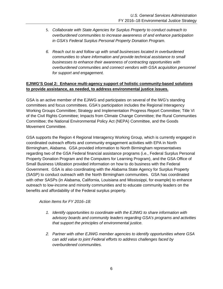- 5. *Collaborate with State Agencies for Surplus Property to conduct outreach to overburdened communities to increase awareness of and enhance participation in GSA's Federal Surplus Personal Property Donation Program.*
- *6. Reach out to and follow up with small businesses located in overburdened communities to share information and provide technical assistance to small businesses to enhance their awareness of contracting opportunities with overburdened communities and connect vendors with GSA acquisition personnel for support and engagement.*

#### **EJIWG'S Goal 2: Enhance multi-agency support of holistic community-based solutions to provide assistance, as needed, to address environmental justice issues.**

GSA is an active member of the EJIWG and participates on several of the IWG's standing committees and focus committees. GSA's participation includes the Regional Interagency Working Groups Committee; Strategy and Implementation Progress Report Committee; Title VI of the Civil Rights Committee; Impacts from Climate Change Committee; the Rural Communities Committee; the National Environmental Policy Act (NEPA) Committee, and the Goods Movement Committee.

GSA supports the Region 4 Regional Interagency Working Group, which is currently engaged in coordinated outreach efforts and community engagement activities with EPA in North Birmingham, Alabama. GSA provided information to North Birmingham representatives regarding two of the GSA Federal financial assistance programs (i.e., Federal Surplus Personal Property Donation Program and the Computers for Learning Program), and the GSA Office of Small Business Utilization provided information on how to do business with the Federal Government. GSA is also coordinating with the Alabama State Agency for Surplus Property (SASP) to conduct outreach with the North Birmingham communities. GSA has coordinated with other SASPs (in Alabama, California, Louisiana and Mississippi, for example) to enhance outreach to low-income and minority communities and to educate community leaders on the benefits and affordability of the Federal surplus property.

*Action Items for FY 2016–18:* 

- *1. Identify opportunities to coordinate with the EJIWG to share information with advisory boards and community leaders regarding GSA's programs and activities that support the principles of environmental justice.*
- *2. Partner with other EJIWG member agencies to identify opportunities where GSA can add value to joint Federal efforts to address challenges faced by overburdened communities.*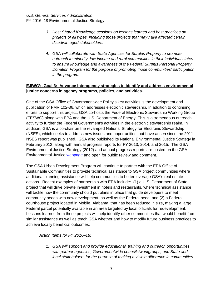- *3. Host Shared Knowledge sessions on lessons learned and best practices on projects of all types, including those projects that may have affected certain disadvantaged stakeholders.*
- *4. GSA will collaborate with State Agencies for Surplus Property to promote outreach to minority, low income and rural communities in their individual states to ensure knowledge and awareness of the Federal Surplus Personal Property Donation Program for the purpose of promoting those communities' participation in the program.*

#### **EJIWG's Goal 3: Advance interagency strategies to identify and address environmental justice concerns in agency programs, policies, and activities.**

One of the GSA Office of Governmentwide Policy's key activities is the development and publication of FMR 102-36, which addresses electronic stewardship. In addition to continuing efforts to support this project, GSA co-hosts the Federal Electronic Stewardship Working Group (FESWG) along with EPA and the U.S. Department of Energy. This is a tremendous outreach activity to further the Federal Government's activities in the electronic stewardship realm. In addition, GSA is a co-chair on the revamped National Strategy for Electronic Stewardship (NSES), which seeks to address new issues and opportunities that have arisen since the 2011 NSES report was published. GSA also published its National Environmental Justice Strategy in February 2012, along with annual progress reports for FY 2013, 2014, and 2015. The GSA Environmental Justice Strategy (2012) and annual progress reports are posted on the GSA Environmental Justice webpage and open for public review and comment.

The GSA Urban Development Program will continue to partner with the EPA Office of Sustainable Communities to provide technical assistance to GSA project communities where additional planning assistance will help communities to better leverage GSA's real estate actions. Recent examples of partnership with EPA include: (1) a U.S. Department of State project that will drive private investment in hotels and restaurants, where technical assistance will tackle how the community should put plans in place that guide developers to meet community needs with new development, as well as the Federal need; and (2) a Federal courthouse project located in Mobile, Alabama, that has been reduced in size, making a large Federal parcel potentially available in an area targeted by local officials for redevelopment. Lessons learned from these projects will help identify other communities that would benefit from similar assistance as well as teach GSA whether and how to modify future business practices to achieve locally beneficial outcomes.

*Action Items for FY 2016–18:* 

*1. GSA will support and provide educational, training and outreach opportunities with partner agencies, Governmentwide councils/workgroups, and State and local stakeholders for the purpose of making a visible difference in communities.*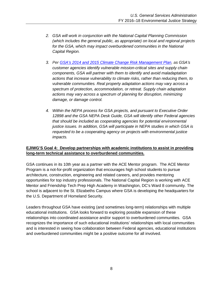- *2. GSA will work in conjunction with the National Capital Planning Commission (which includes the general public, as appropriate) on local and regional projects for the GSA, which may impact overburdened communities in the National Capital Region.*
- *3. Per GSA's 2014 and 2015 Climate Change Risk Management Plan, as GSA's customer agencies identify vulnerable mission-critical sites and supply chain components, GSA will partner with them to identify and avoid maladaptation actions that increase vulnerability to climate risks, rather than reducing them, to vulnerable communities. Real property adaptation actions may vary across a spectrum of protection, accommodation, or retreat. Supply chain adaptation actions may vary across a spectrum of planning for disruption, minimizing damage, or damage control.*
- *4. Within the NEPA process for GSA projects, and pursuant to Executive Order 12898 and the GSA NEPA Desk Guide, GSA will identify other Federal agencies that should be included as cooperating agencies for potential environmental justice issues. In addition, GSA will participate in NEPA studies in which GSA is requested to be a cooperating agency on projects with environmental justice impacts.*

#### **EJIWG'S Goal 4: Develop partnerships with academic institutions to assist in providing long-term technical assistance to overburdened communities.**

GSA continues in its 10th year as a partner with the ACE Mentor program. The ACE Mentor Program is a not-for-profit organization that encourages high school students to pursue architecture, construction, engineering and related careers, and provides mentoring opportunities for top industry professionals. The National Capital Region is working with ACE Mentor and Friendship Tech Prep High Academy in Washington, DC's Ward 8 community. The school is adjacent to the St. Elizabeths Campus where GSA is developing the headquarters for the U.S. Department of Homeland Security.

Leaders throughout GSA have existing (and sometimes long-term) relationships with multiple educational institutions. GSA looks forward to exploring possible expansion of these relationships into coordinated assistance and/or support to overburdened communities. GSA recognizes the importance of such educational institutions' relationships with local communities and is interested in seeing how collaboration between Federal agencies, educational institutions and overburdened communities might be a positive outcome for all involved.